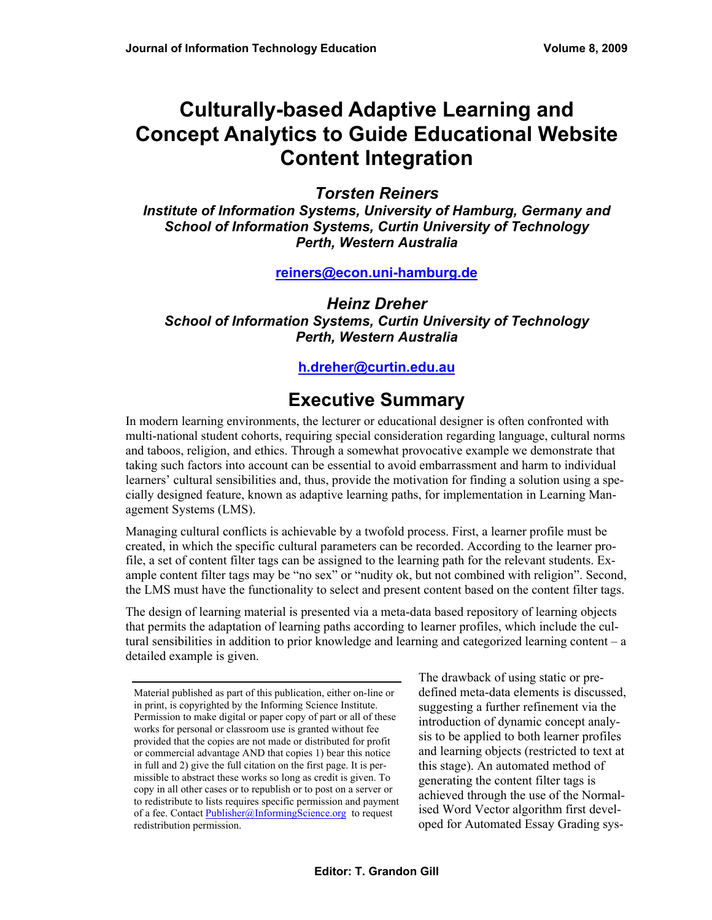# **Culturally-based Adaptive Learning and Concept Analytics to Guide Educational Website Content Integration**

#### *Torsten Reiners*

*Institute of Information Systems, University of Hamburg, Germany and School of Information Systems, Curtin University of Technology Perth, Western Australia* 

#### **[reiners@econ.uni-hamburg.de](mailto:reiners@econ.uni-hamburg.de)**

*Heinz Dreher School of Information Systems, Curtin University of Technology Perth, Western Australia*

#### **[h.dreher@curtin.edu.au](mailto:h.dreher@curtin.edu.au)**

### **Executive Summary**

In modern learning environments, the lecturer or educational designer is often confronted with multi-national student cohorts, requiring special consideration regarding language, cultural norms and taboos, religion, and ethics. Through a somewhat provocative example we demonstrate that taking such factors into account can be essential to avoid embarrassment and harm to individual learners' cultural sensibilities and, thus, provide the motivation for finding a solution using a specially designed feature, known as adaptive learning paths, for implementation in Learning Management Systems (LMS).

Managing cultural conflicts is achievable by a twofold process. First, a learner profile must be created, in which the specific cultural parameters can be recorded. According to the learner profile, a set of content filter tags can be assigned to the learning path for the relevant students. Example content filter tags may be "no sex" or "nudity ok, but not combined with religion". Second, the LMS must have the functionality to select and present content based on the content filter tags.

The design of learning material is presented via a meta-data based repository of learning objects that permits the adaptation of learning paths according to learner profiles, which include the cultural sensibilities in addition to prior knowledge and learning and categorized learning content – a detailed example is given.

The drawback of using static or predefined meta-data elements is discussed, suggesting a further refinement via the introduction of dynamic concept analysis to be applied to both learner profiles and learning objects (restricted to text at this stage). An automated method of generating the content filter tags is achieved through the use of the Normalised Word Vector algorithm first developed for Automated Essay Grading sys-

Material published as part of this publication, either on-line or in print, is copyrighted by the Informing Science Institute. Permission to make digital or paper copy of part or all of these works for personal or classroom use is granted without fee provided that the copies are not made or distributed for profit or commercial advantage AND that copies 1) bear this notice in full and 2) give the full citation on the first page. It is permissible to abstract these works so long as credit is given. To copy in all other cases or to republish or to post on a server or to redistribute to lists requires specific permission and payment of a fee. Contact [Publisher@InformingScience.org](mailto:Publisher@InformingScience.org) to request redistribution permission.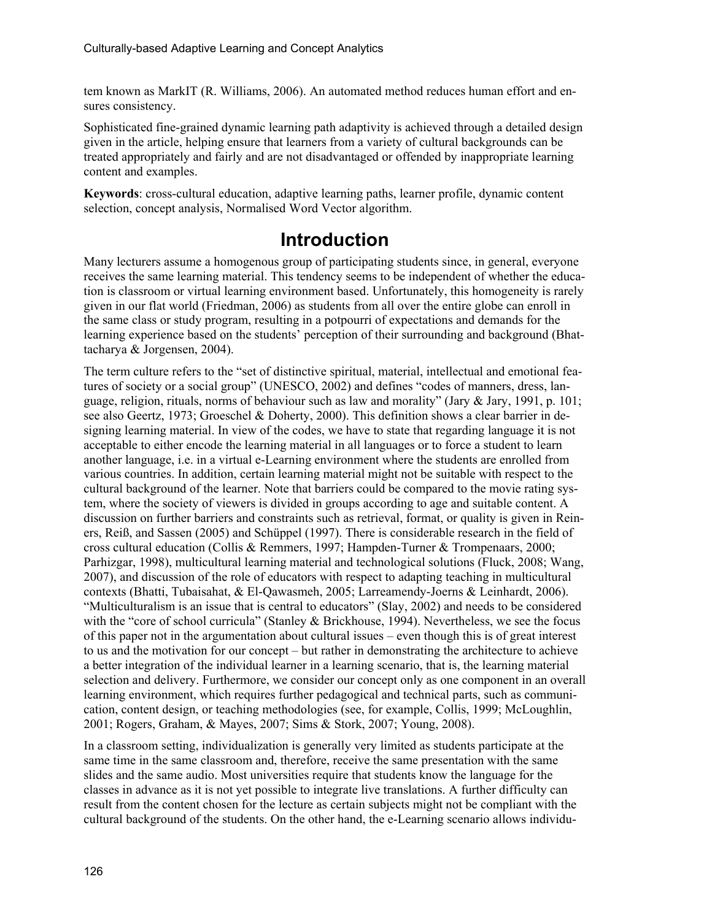tem known as MarkIT (R. Williams, 2006). An automated method reduces human effort and ensures consistency.

Sophisticated fine-grained dynamic learning path adaptivity is achieved through a detailed design given in the article, helping ensure that learners from a variety of cultural backgrounds can be treated appropriately and fairly and are not disadvantaged or offended by inappropriate learning content and examples.

**Keywords**: cross-cultural education, adaptive learning paths, learner profile, dynamic content selection, concept analysis, Normalised Word Vector algorithm.

### **Introduction**

Many lecturers assume a homogenous group of participating students since, in general, everyone receives the same learning material. This tendency seems to be independent of whether the education is classroom or virtual learning environment based. Unfortunately, this homogeneity is rarely given in our flat world (Friedman, 2006) as students from all over the entire globe can enroll in the same class or study program, resulting in a potpourri of expectations and demands for the learning experience based on the students' perception of their surrounding and background (Bhattacharya & Jorgensen, 2004).

The term culture refers to the "set of distinctive spiritual, material, intellectual and emotional features of society or a social group" (UNESCO, 2002) and defines "codes of manners, dress, language, religion, rituals, norms of behaviour such as law and morality" (Jary & Jary, 1991, p. 101; see also Geertz, 1973; Groeschel & Doherty, 2000). This definition shows a clear barrier in designing learning material. In view of the codes, we have to state that regarding language it is not acceptable to either encode the learning material in all languages or to force a student to learn another language, i.e. in a virtual e-Learning environment where the students are enrolled from various countries. In addition, certain learning material might not be suitable with respect to the cultural background of the learner. Note that barriers could be compared to the movie rating system, where the society of viewers is divided in groups according to age and suitable content. A discussion on further barriers and constraints such as retrieval, format, or quality is given in Reiners, Reiß, and Sassen (2005) and Schüppel (1997). There is considerable research in the field of cross cultural education (Collis & Remmers, 1997; Hampden-Turner & Trompenaars, 2000; Parhizgar, 1998), multicultural learning material and technological solutions (Fluck, 2008; Wang, 2007), and discussion of the role of educators with respect to adapting teaching in multicultural contexts (Bhatti, Tubaisahat, & El-Qawasmeh, 2005; Larreamendy-Joerns & Leinhardt, 2006). "Multiculturalism is an issue that is central to educators" (Slay, 2002) and needs to be considered with the "core of school curricula" (Stanley & Brickhouse, 1994). Nevertheless, we see the focus of this paper not in the argumentation about cultural issues – even though this is of great interest to us and the motivation for our concept – but rather in demonstrating the architecture to achieve a better integration of the individual learner in a learning scenario, that is, the learning material selection and delivery. Furthermore, we consider our concept only as one component in an overall learning environment, which requires further pedagogical and technical parts, such as communication, content design, or teaching methodologies (see, for example, Collis, 1999; McLoughlin, 2001; Rogers, Graham, & Mayes, 2007; Sims & Stork, 2007; Young, 2008).

In a classroom setting, individualization is generally very limited as students participate at the same time in the same classroom and, therefore, receive the same presentation with the same slides and the same audio. Most universities require that students know the language for the classes in advance as it is not yet possible to integrate live translations. A further difficulty can result from the content chosen for the lecture as certain subjects might not be compliant with the cultural background of the students. On the other hand, the e-Learning scenario allows individu-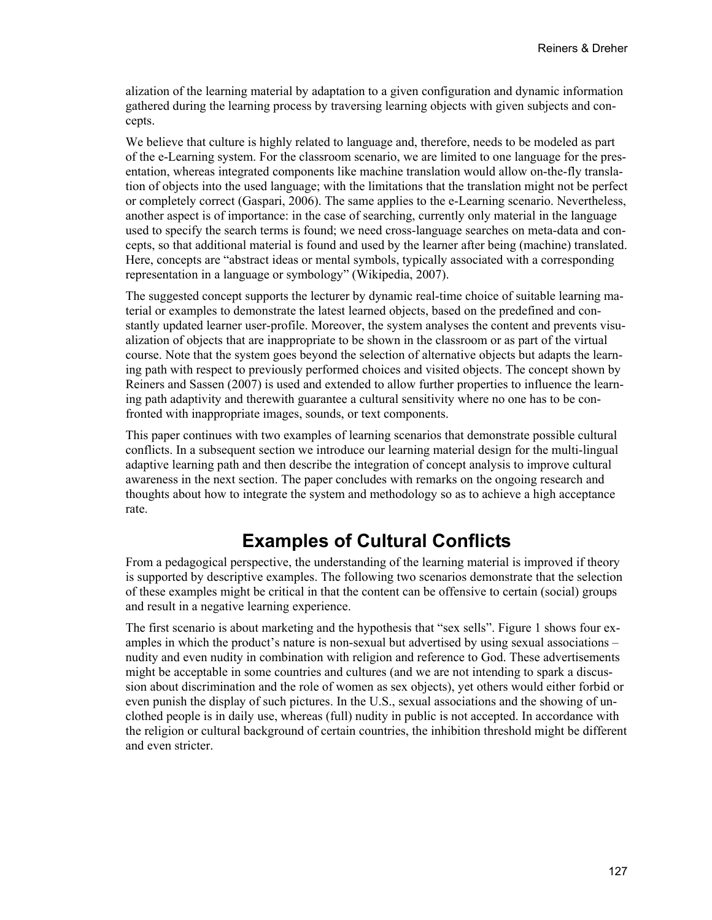alization of the learning material by adaptation to a given configuration and dynamic information gathered during the learning process by traversing learning objects with given subjects and concepts.

We believe that culture is highly related to language and, therefore, needs to be modeled as part of the e-Learning system. For the classroom scenario, we are limited to one language for the presentation, whereas integrated components like machine translation would allow on-the-fly translation of objects into the used language; with the limitations that the translation might not be perfect or completely correct (Gaspari, 2006). The same applies to the e-Learning scenario. Nevertheless, another aspect is of importance: in the case of searching, currently only material in the language used to specify the search terms is found; we need cross-language searches on meta-data and concepts, so that additional material is found and used by the learner after being (machine) translated. Here, concepts are "abstract ideas or mental symbols, typically associated with a corresponding representation in a language or symbology" (Wikipedia, 2007).

The suggested concept supports the lecturer by dynamic real-time choice of suitable learning material or examples to demonstrate the latest learned objects, based on the predefined and constantly updated learner user-profile. Moreover, the system analyses the content and prevents visualization of objects that are inappropriate to be shown in the classroom or as part of the virtual course. Note that the system goes beyond the selection of alternative objects but adapts the learning path with respect to previously performed choices and visited objects. The concept shown by Reiners and Sassen (2007) is used and extended to allow further properties to influence the learning path adaptivity and therewith guarantee a cultural sensitivity where no one has to be confronted with inappropriate images, sounds, or text components.

This paper continues with two examples of learning scenarios that demonstrate possible cultural conflicts. In a subsequent section we introduce our learning material design for the multi-lingual adaptive learning path and then describe the integration of concept analysis to improve cultural awareness in the next section. The paper concludes with remarks on the ongoing research and thoughts about how to integrate the system and methodology so as to achieve a high acceptance rate.

# **Examples of Cultural Conflicts**

From a pedagogical perspective, the understanding of the learning material is improved if theory is supported by descriptive examples. The following two scenarios demonstrate that the selection of these examples might be critical in that the content can be offensive to certain (social) groups and result in a negative learning experience.

The first scenario is about marketing and the hypothesis that "sex sells". Figure 1 shows four examples in which the product's nature is non-sexual but advertised by using sexual associations – nudity and even nudity in combination with religion and reference to God. These advertisements might be acceptable in some countries and cultures (and we are not intending to spark a discussion about discrimination and the role of women as sex objects), yet others would either forbid or even punish the display of such pictures. In the U.S., sexual associations and the showing of unclothed people is in daily use, whereas (full) nudity in public is not accepted. In accordance with the religion or cultural background of certain countries, the inhibition threshold might be different and even stricter.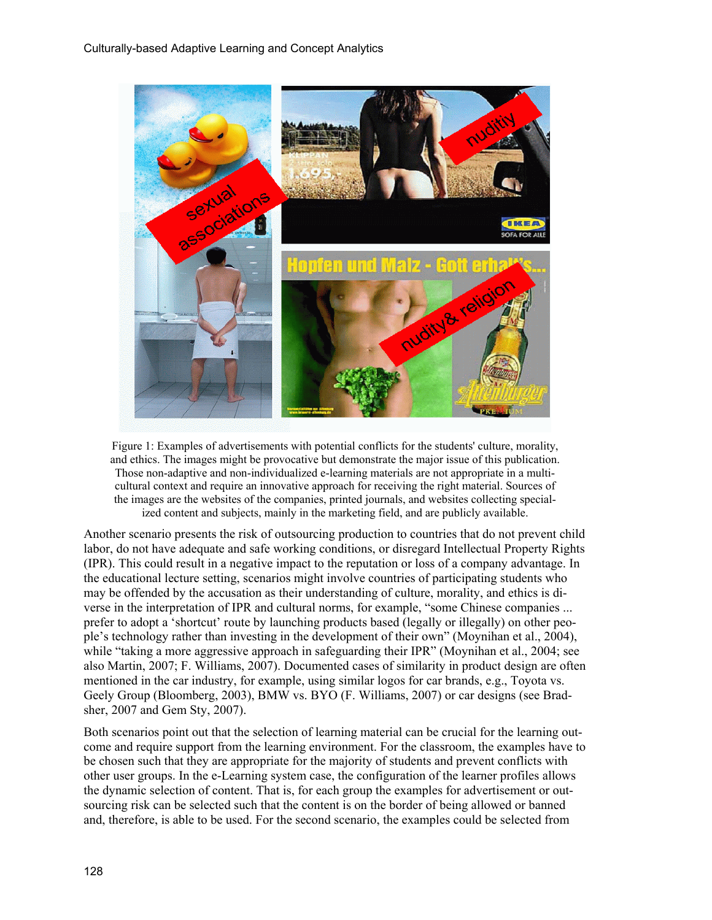

Figure 1: Examples of advertisements with potential conflicts for the students' culture, morality, and ethics. The images might be provocative but demonstrate the major issue of this publication. Those non-adaptive and non-individualized e-learning materials are not appropriate in a multicultural context and require an innovative approach for receiving the right material. Sources of the images are the websites of the companies, printed journals, and websites collecting specialized content and subjects, mainly in the marketing field, and are publicly available.

Another scenario presents the risk of outsourcing production to countries that do not prevent child labor, do not have adequate and safe working conditions, or disregard Intellectual Property Rights (IPR). This could result in a negative impact to the reputation or loss of a company advantage. In the educational lecture setting, scenarios might involve countries of participating students who may be offended by the accusation as their understanding of culture, morality, and ethics is diverse in the interpretation of IPR and cultural norms, for example, "some Chinese companies ... prefer to adopt a 'shortcut' route by launching products based (legally or illegally) on other people's technology rather than investing in the development of their own" (Moynihan et al., 2004), while "taking a more aggressive approach in safeguarding their IPR" (Moynihan et al., 2004; see also Martin, 2007; F. Williams, 2007). Documented cases of similarity in product design are often mentioned in the car industry, for example, using similar logos for car brands, e.g., Toyota vs. Geely Group (Bloomberg, 2003), BMW vs. BYO (F. Williams, 2007) or car designs (see Bradsher, 2007 and Gem Sty, 2007).

Both scenarios point out that the selection of learning material can be crucial for the learning outcome and require support from the learning environment. For the classroom, the examples have to be chosen such that they are appropriate for the majority of students and prevent conflicts with other user groups. In the e-Learning system case, the configuration of the learner profiles allows the dynamic selection of content. That is, for each group the examples for advertisement or outsourcing risk can be selected such that the content is on the border of being allowed or banned and, therefore, is able to be used. For the second scenario, the examples could be selected from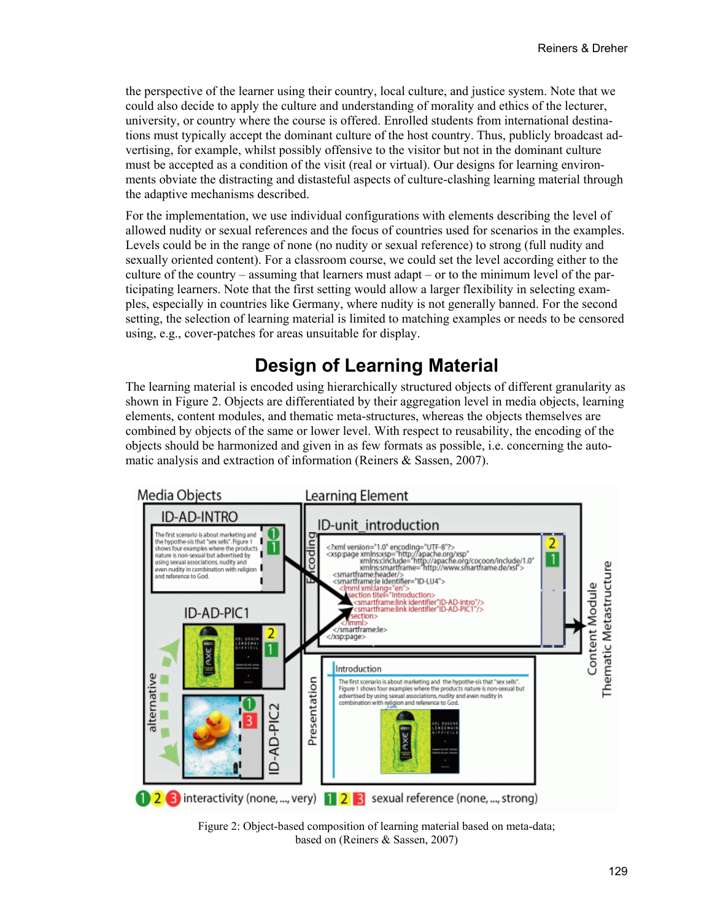the perspective of the learner using their country, local culture, and justice system. Note that we could also decide to apply the culture and understanding of morality and ethics of the lecturer, university, or country where the course is offered. Enrolled students from international destinations must typically accept the dominant culture of the host country. Thus, publicly broadcast advertising, for example, whilst possibly offensive to the visitor but not in the dominant culture must be accepted as a condition of the visit (real or virtual). Our designs for learning environments obviate the distracting and distasteful aspects of culture-clashing learning material through the adaptive mechanisms described.

For the implementation, we use individual configurations with elements describing the level of allowed nudity or sexual references and the focus of countries used for scenarios in the examples. Levels could be in the range of none (no nudity or sexual reference) to strong (full nudity and sexually oriented content). For a classroom course, we could set the level according either to the culture of the country – assuming that learners must adapt – or to the minimum level of the participating learners. Note that the first setting would allow a larger flexibility in selecting examples, especially in countries like Germany, where nudity is not generally banned. For the second setting, the selection of learning material is limited to matching examples or needs to be censored using, e.g., cover-patches for areas unsuitable for display.

## **Design of Learning Material**

The learning material is encoded using hierarchically structured objects of different granularity as shown in Figure 2. Objects are differentiated by their aggregation level in media objects, learning elements, content modules, and thematic meta-structures, whereas the objects themselves are combined by objects of the same or lower level. With respect to reusability, the encoding of the objects should be harmonized and given in as few formats as possible, i.e. concerning the automatic analysis and extraction of information (Reiners & Sassen, 2007).



Figure 2: Object-based composition of learning material based on meta-data; based on (Reiners & Sassen, 2007)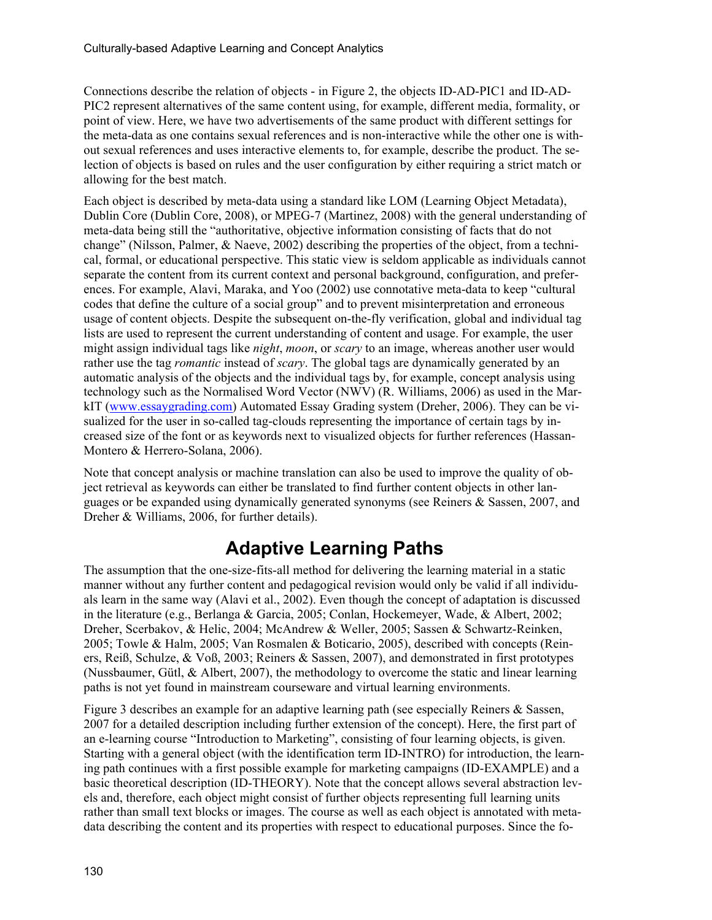Connections describe the relation of objects - in Figure 2, the objects ID-AD-PIC1 and ID-AD-PIC2 represent alternatives of the same content using, for example, different media, formality, or point of view. Here, we have two advertisements of the same product with different settings for the meta-data as one contains sexual references and is non-interactive while the other one is without sexual references and uses interactive elements to, for example, describe the product. The selection of objects is based on rules and the user configuration by either requiring a strict match or allowing for the best match.

Each object is described by meta-data using a standard like LOM (Learning Object Metadata), Dublin Core (Dublin Core, 2008), or MPEG-7 (Martinez, 2008) with the general understanding of meta-data being still the "authoritative, objective information consisting of facts that do not change" (Nilsson, Palmer, & Naeve, 2002) describing the properties of the object, from a technical, formal, or educational perspective. This static view is seldom applicable as individuals cannot separate the content from its current context and personal background, configuration, and preferences. For example, Alavi, Maraka, and Yoo (2002) use connotative meta-data to keep "cultural codes that define the culture of a social group" and to prevent misinterpretation and erroneous usage of content objects. Despite the subsequent on-the-fly verification, global and individual tag lists are used to represent the current understanding of content and usage. For example, the user might assign individual tags like *night*, *moon*, or *scary* to an image, whereas another user would rather use the tag *romantic* instead of *scary*. The global tags are dynamically generated by an automatic analysis of the objects and the individual tags by, for example, concept analysis using technology such as the Normalised Word Vector (NWV) (R. Williams, 2006) as used in the MarkIT [\(www.essaygrading.com\)](http://www.essaygrading.com/) Automated Essay Grading system (Dreher, 2006). They can be visualized for the user in so-called tag-clouds representing the importance of certain tags by increased size of the font or as keywords next to visualized objects for further references (Hassan-Montero & Herrero-Solana, 2006).

Note that concept analysis or machine translation can also be used to improve the quality of object retrieval as keywords can either be translated to find further content objects in other languages or be expanded using dynamically generated synonyms (see Reiners & Sassen, 2007, and Dreher & Williams, 2006, for further details).

# **Adaptive Learning Paths**

The assumption that the one-size-fits-all method for delivering the learning material in a static manner without any further content and pedagogical revision would only be valid if all individuals learn in the same way (Alavi et al., 2002). Even though the concept of adaptation is discussed in the literature (e.g., Berlanga & Garcia, 2005; Conlan, Hockemeyer, Wade, & Albert, 2002; Dreher, Scerbakov, & Helic, 2004; McAndrew & Weller, 2005; Sassen & Schwartz-Reinken, 2005; Towle & Halm, 2005; Van Rosmalen & Boticario, 2005), described with concepts (Reiners, Reiß, Schulze, & Voß, 2003; Reiners & Sassen, 2007), and demonstrated in first prototypes (Nussbaumer, Gütl, & Albert, 2007), the methodology to overcome the static and linear learning paths is not yet found in mainstream courseware and virtual learning environments.

Figure 3 describes an example for an adaptive learning path (see especially Reiners & Sassen, 2007 for a detailed description including further extension of the concept). Here, the first part of an e-learning course "Introduction to Marketing", consisting of four learning objects, is given. Starting with a general object (with the identification term ID-INTRO) for introduction, the learning path continues with a first possible example for marketing campaigns (ID-EXAMPLE) and a basic theoretical description (ID-THEORY). Note that the concept allows several abstraction levels and, therefore, each object might consist of further objects representing full learning units rather than small text blocks or images. The course as well as each object is annotated with metadata describing the content and its properties with respect to educational purposes. Since the fo-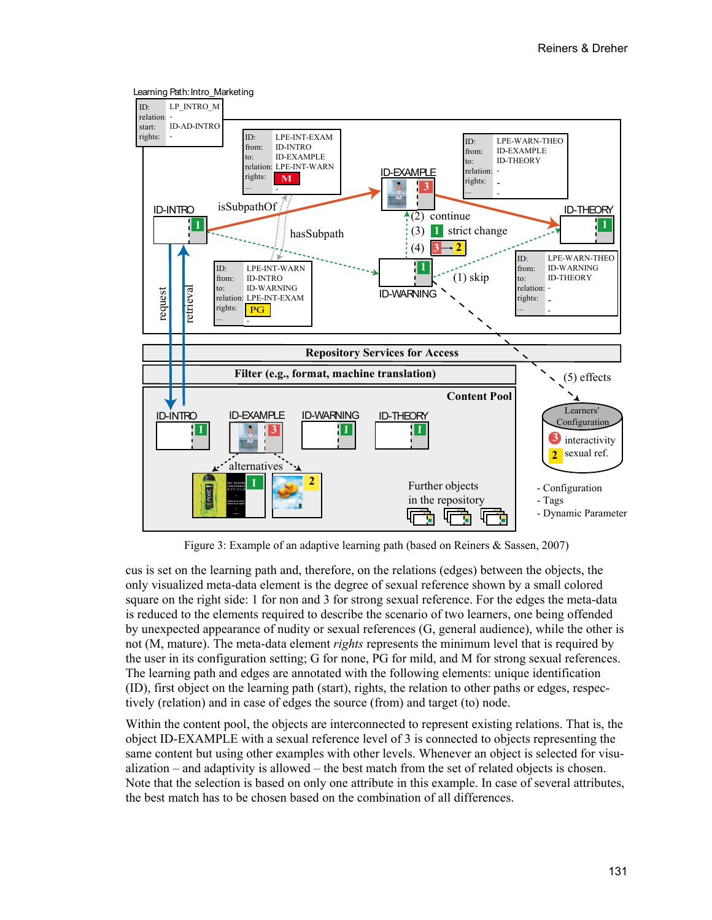

Figure 3: Example of an adaptive learning path (based on Reiners & Sassen, 2007)

cus is set on the learning path and, therefore, on the relations (edges) between the objects, the only visualized meta-data element is the degree of sexual reference shown by a small colored square on the right side: 1 for non and 3 for strong sexual reference. For the edges the meta-data is reduced to the elements required to describe the scenario of two learners, one being offended by unexpected appearance of nudity or sexual references (G, general audience), while the other is not (M, mature). The meta-data element *rights* represents the minimum level that is required by the user in its configuration setting; G for none, PG for mild, and M for strong sexual references. The learning path and edges are annotated with the following elements: unique identification (ID), first object on the learning path (start), rights, the relation to other paths or edges, respectively (relation) and in case of edges the source (from) and target (to) node.

Within the content pool, the objects are interconnected to represent existing relations. That is, the object ID-EXAMPLE with a sexual reference level of 3 is connected to objects representing the same content but using other examples with other levels. Whenever an object is selected for visualization – and adaptivity is allowed – the best match from the set of related objects is chosen. Note that the selection is based on only one attribute in this example. In case of several attributes, the best match has to be chosen based on the combination of all differences.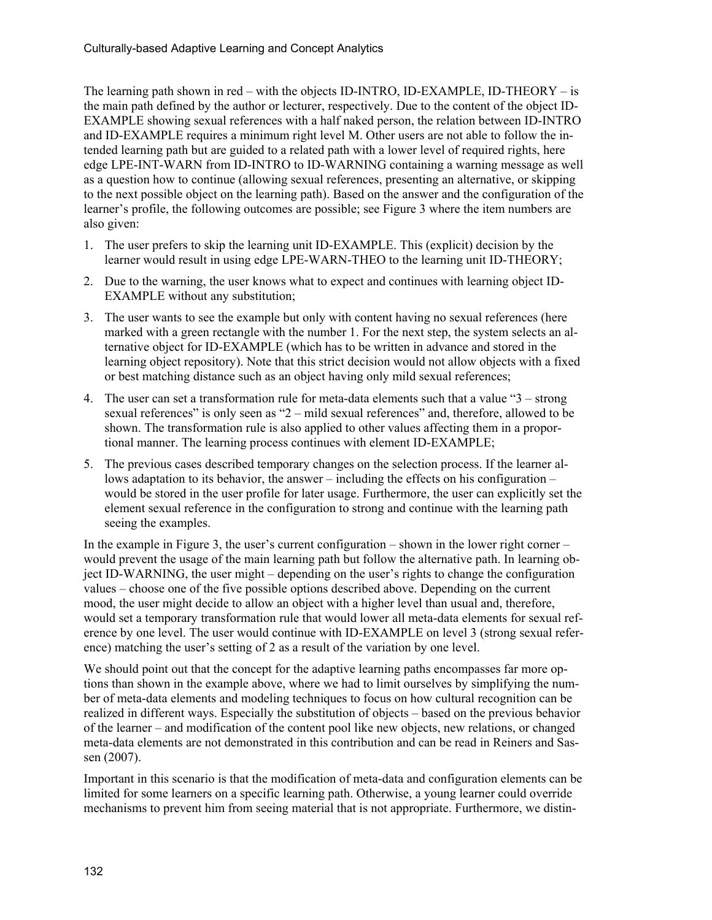The learning path shown in red – with the objects ID-INTRO, ID-EXAMPLE, ID-THEORY – is the main path defined by the author or lecturer, respectively. Due to the content of the object ID-EXAMPLE showing sexual references with a half naked person, the relation between ID-INTRO and ID-EXAMPLE requires a minimum right level M. Other users are not able to follow the intended learning path but are guided to a related path with a lower level of required rights, here edge LPE-INT-WARN from ID-INTRO to ID-WARNING containing a warning message as well as a question how to continue (allowing sexual references, presenting an alternative, or skipping to the next possible object on the learning path). Based on the answer and the configuration of the learner's profile, the following outcomes are possible; see Figure 3 where the item numbers are also given:

- 1. The user prefers to skip the learning unit ID-EXAMPLE. This (explicit) decision by the learner would result in using edge LPE-WARN-THEO to the learning unit ID-THEORY;
- 2. Due to the warning, the user knows what to expect and continues with learning object ID-EXAMPLE without any substitution;
- 3. The user wants to see the example but only with content having no sexual references (here marked with a green rectangle with the number 1. For the next step, the system selects an alternative object for ID-EXAMPLE (which has to be written in advance and stored in the learning object repository). Note that this strict decision would not allow objects with a fixed or best matching distance such as an object having only mild sexual references;
- 4. The user can set a transformation rule for meta-data elements such that a value "3 strong sexual references" is only seen as "2 – mild sexual references" and, therefore, allowed to be shown. The transformation rule is also applied to other values affecting them in a proportional manner. The learning process continues with element ID-EXAMPLE;
- 5. The previous cases described temporary changes on the selection process. If the learner allows adaptation to its behavior, the answer – including the effects on his configuration – would be stored in the user profile for later usage. Furthermore, the user can explicitly set the element sexual reference in the configuration to strong and continue with the learning path seeing the examples.

In the example in Figure 3, the user's current configuration – shown in the lower right corner – would prevent the usage of the main learning path but follow the alternative path. In learning object ID-WARNING, the user might – depending on the user's rights to change the configuration values – choose one of the five possible options described above. Depending on the current mood, the user might decide to allow an object with a higher level than usual and, therefore, would set a temporary transformation rule that would lower all meta-data elements for sexual reference by one level. The user would continue with ID-EXAMPLE on level 3 (strong sexual reference) matching the user's setting of 2 as a result of the variation by one level.

We should point out that the concept for the adaptive learning paths encompasses far more options than shown in the example above, where we had to limit ourselves by simplifying the number of meta-data elements and modeling techniques to focus on how cultural recognition can be realized in different ways. Especially the substitution of objects – based on the previous behavior of the learner – and modification of the content pool like new objects, new relations, or changed meta-data elements are not demonstrated in this contribution and can be read in Reiners and Sassen (2007).

Important in this scenario is that the modification of meta-data and configuration elements can be limited for some learners on a specific learning path. Otherwise, a young learner could override mechanisms to prevent him from seeing material that is not appropriate. Furthermore, we distin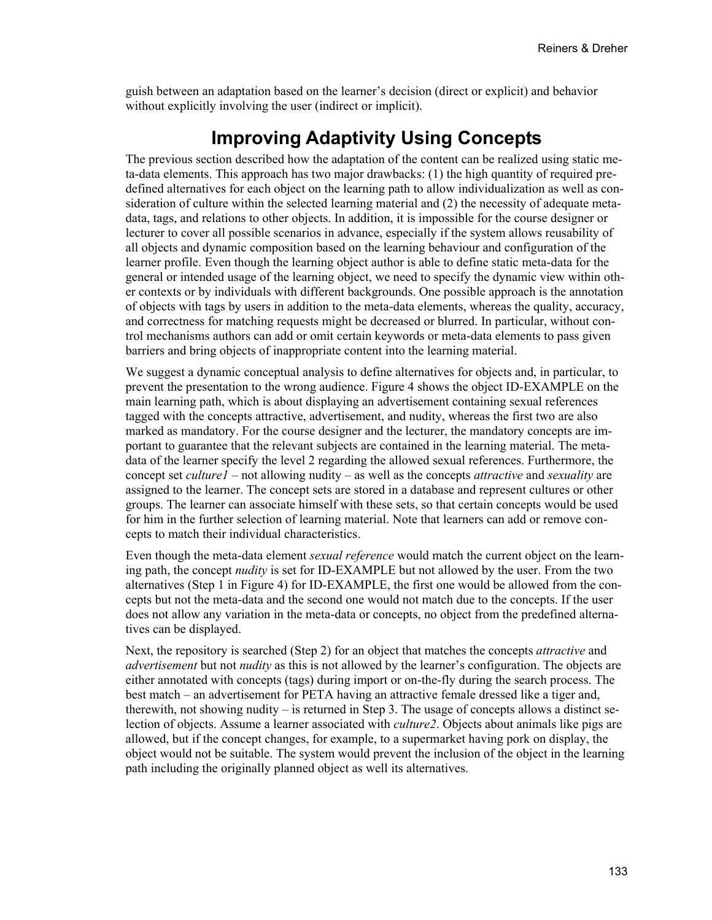guish between an adaptation based on the learner's decision (direct or explicit) and behavior without explicitly involving the user (indirect or implicit).

#### **Improving Adaptivity Using Concepts**

The previous section described how the adaptation of the content can be realized using static meta-data elements. This approach has two major drawbacks: (1) the high quantity of required predefined alternatives for each object on the learning path to allow individualization as well as consideration of culture within the selected learning material and (2) the necessity of adequate metadata, tags, and relations to other objects. In addition, it is impossible for the course designer or lecturer to cover all possible scenarios in advance, especially if the system allows reusability of all objects and dynamic composition based on the learning behaviour and configuration of the learner profile. Even though the learning object author is able to define static meta-data for the general or intended usage of the learning object, we need to specify the dynamic view within other contexts or by individuals with different backgrounds. One possible approach is the annotation of objects with tags by users in addition to the meta-data elements, whereas the quality, accuracy, and correctness for matching requests might be decreased or blurred. In particular, without control mechanisms authors can add or omit certain keywords or meta-data elements to pass given barriers and bring objects of inappropriate content into the learning material.

We suggest a dynamic conceptual analysis to define alternatives for objects and, in particular, to prevent the presentation to the wrong audience. Figure 4 shows the object ID-EXAMPLE on the main learning path, which is about displaying an advertisement containing sexual references tagged with the concepts attractive, advertisement, and nudity, whereas the first two are also marked as mandatory. For the course designer and the lecturer, the mandatory concepts are important to guarantee that the relevant subjects are contained in the learning material. The metadata of the learner specify the level 2 regarding the allowed sexual references. Furthermore, the concept set *culture1* – not allowing nudity – as well as the concepts *attractive* and *sexuality* are assigned to the learner. The concept sets are stored in a database and represent cultures or other groups. The learner can associate himself with these sets, so that certain concepts would be used for him in the further selection of learning material. Note that learners can add or remove concepts to match their individual characteristics.

Even though the meta-data element *sexual reference* would match the current object on the learning path, the concept *nudity* is set for ID-EXAMPLE but not allowed by the user. From the two alternatives (Step 1 in Figure 4) for ID-EXAMPLE, the first one would be allowed from the concepts but not the meta-data and the second one would not match due to the concepts. If the user does not allow any variation in the meta-data or concepts, no object from the predefined alternatives can be displayed.

Next, the repository is searched (Step 2) for an object that matches the concepts *attractive* and *advertisement* but not *nudity* as this is not allowed by the learner's configuration. The objects are either annotated with concepts (tags) during import or on-the-fly during the search process. The best match – an advertisement for PETA having an attractive female dressed like a tiger and, therewith, not showing nudity – is returned in Step 3. The usage of concepts allows a distinct selection of objects. Assume a learner associated with *culture2*. Objects about animals like pigs are allowed, but if the concept changes, for example, to a supermarket having pork on display, the object would not be suitable. The system would prevent the inclusion of the object in the learning path including the originally planned object as well its alternatives.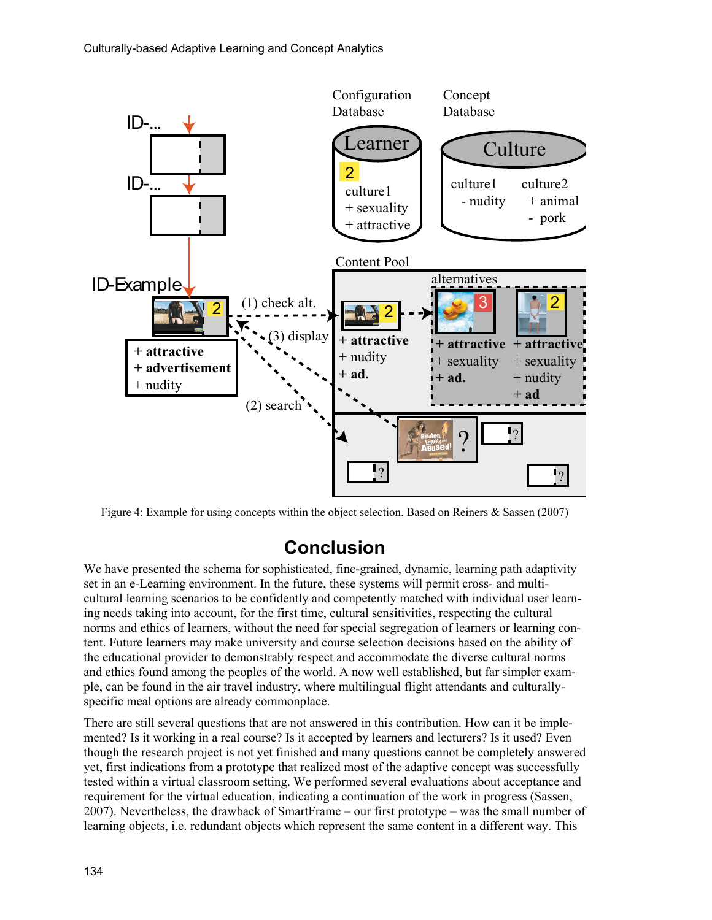

Figure 4: Example for using concepts within the object selection. Based on Reiners & Sassen (2007)

## **Conclusion**

We have presented the schema for sophisticated, fine-grained, dynamic, learning path adaptivity set in an e-Learning environment. In the future, these systems will permit cross- and multicultural learning scenarios to be confidently and competently matched with individual user learning needs taking into account, for the first time, cultural sensitivities, respecting the cultural norms and ethics of learners, without the need for special segregation of learners or learning content. Future learners may make university and course selection decisions based on the ability of the educational provider to demonstrably respect and accommodate the diverse cultural norms and ethics found among the peoples of the world. A now well established, but far simpler example, can be found in the air travel industry, where multilingual flight attendants and culturallyspecific meal options are already commonplace.

There are still several questions that are not answered in this contribution. How can it be implemented? Is it working in a real course? Is it accepted by learners and lecturers? Is it used? Even though the research project is not yet finished and many questions cannot be completely answered yet, first indications from a prototype that realized most of the adaptive concept was successfully tested within a virtual classroom setting. We performed several evaluations about acceptance and requirement for the virtual education, indicating a continuation of the work in progress (Sassen, 2007). Nevertheless, the drawback of SmartFrame – our first prototype – was the small number of learning objects, i.e. redundant objects which represent the same content in a different way. This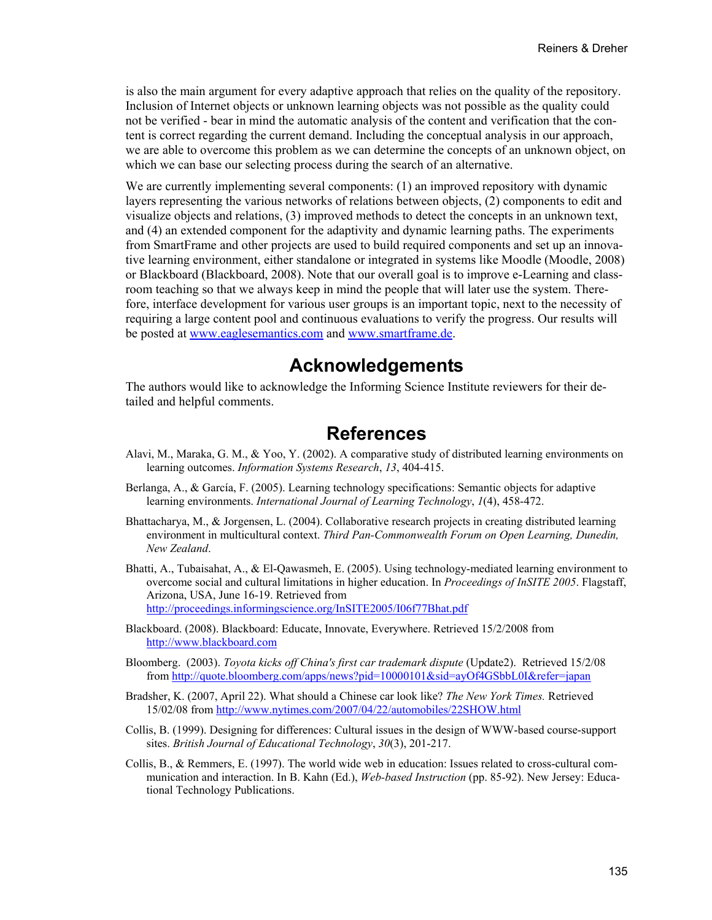is also the main argument for every adaptive approach that relies on the quality of the repository. Inclusion of Internet objects or unknown learning objects was not possible as the quality could not be verified - bear in mind the automatic analysis of the content and verification that the content is correct regarding the current demand. Including the conceptual analysis in our approach, we are able to overcome this problem as we can determine the concepts of an unknown object, on which we can base our selecting process during the search of an alternative.

We are currently implementing several components: (1) an improved repository with dynamic layers representing the various networks of relations between objects, (2) components to edit and visualize objects and relations, (3) improved methods to detect the concepts in an unknown text, and (4) an extended component for the adaptivity and dynamic learning paths. The experiments from SmartFrame and other projects are used to build required components and set up an innovative learning environment, either standalone or integrated in systems like Moodle (Moodle, 2008) or Blackboard (Blackboard, 2008). Note that our overall goal is to improve e-Learning and classroom teaching so that we always keep in mind the people that will later use the system. Therefore, interface development for various user groups is an important topic, next to the necessity of requiring a large content pool and continuous evaluations to verify the progress. Our results will be posted at [www.eaglesemantics.com](http://www.eaglesemantics.com/) and [www.smartframe.de](http://www.smartframe.de/).

#### **Acknowledgements**

The authors would like to acknowledge the Informing Science Institute reviewers for their detailed and helpful comments.

#### **References**

- Alavi, M., Maraka, G. M., & Yoo, Y. (2002). A comparative study of distributed learning environments on learning outcomes. *Information Systems Research*, *13*, 404-415.
- Berlanga, A., & García, F. (2005). Learning technology specifications: Semantic objects for adaptive learning environments. *International Journal of Learning Technology*, *1*(4), 458-472.
- Bhattacharya, M., & Jorgensen, L. (2004). Collaborative research projects in creating distributed learning environment in multicultural context. *Third Pan-Commonwealth Forum on Open Learning, Dunedin, New Zealand*.
- Bhatti, A., Tubaisahat, A., & El-Qawasmeh, E. (2005). Using technology-mediated learning environment to overcome social and cultural limitations in higher education. In *Proceedings of InSITE 2005*. Flagstaff, Arizona, USA, June 16-19. Retrieved from <http://proceedings.informingscience.org/InSITE2005/I06f77Bhat.pdf>
- Blackboard. (2008). Blackboard: Educate, Innovate, Everywhere. Retrieved 15/2/2008 from [http://www.blackboard.com](http://www.blackboard.com/)
- Bloomberg. (2003). *Toyota kicks off China's first car trademark dispute* (Update2). Retrieved 15/2/08 from <http://quote.bloomberg.com/apps/news?pid=10000101&sid=ayOf4GSbbL0I&refer=japan>
- Bradsher, K. (2007, April 22). What should a Chinese car look like? *The New York Times.* Retrieved 15/02/08 from <http://www.nytimes.com/2007/04/22/automobiles/22SHOW.html>
- Collis, B. (1999). Designing for differences: Cultural issues in the design of WWW-based course-support sites. *British Journal of Educational Technology*, *30*(3), 201-217.
- Collis, B., & Remmers, E. (1997). The world wide web in education: Issues related to cross-cultural communication and interaction. In B. Kahn (Ed.), *Web-based Instruction* (pp. 85-92). New Jersey: Educational Technology Publications.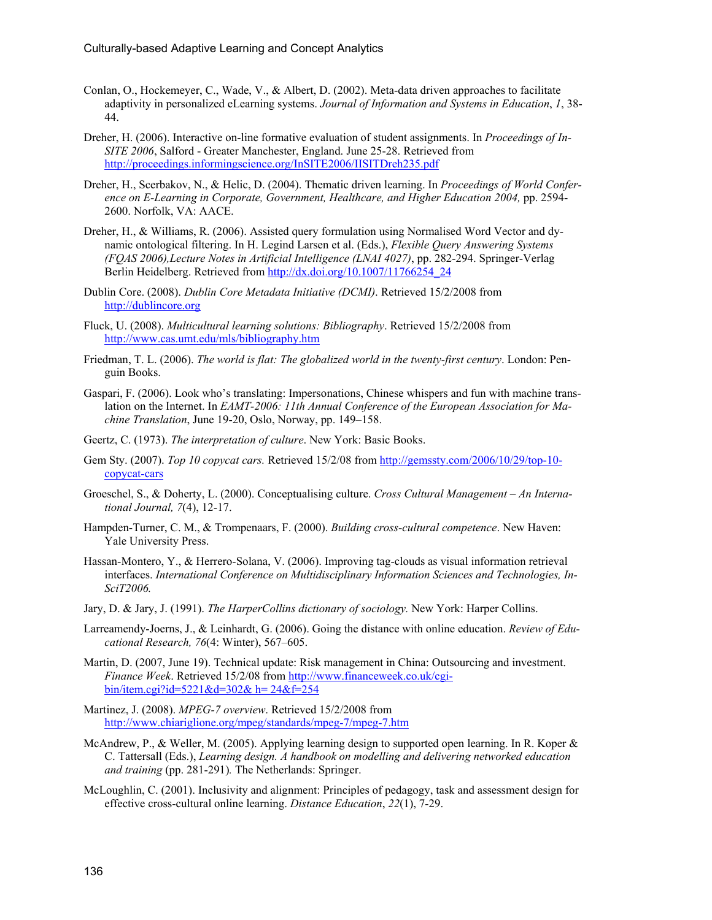- Conlan, O., Hockemeyer, C., Wade, V., & Albert, D. (2002). Meta-data driven approaches to facilitate adaptivity in personalized eLearning systems. *Journal of Information and Systems in Education*, *1*, 38- 44.
- Dreher, H. (2006). Interactive on-line formative evaluation of student assignments. In *Proceedings of In-SITE 2006*, Salford - Greater Manchester, England. June 25-28. Retrieved from <http://proceedings.informingscience.org/InSITE2006/IISITDreh235.pdf>
- Dreher, H., Scerbakov, N., & Helic, D. (2004). Thematic driven learning. In *Proceedings of World Conference on E-Learning in Corporate, Government, Healthcare, and Higher Education 2004,* pp. 2594- 2600. Norfolk, VA: AACE.
- Dreher, H., & Williams, R. (2006). Assisted query formulation using Normalised Word Vector and dynamic ontological filtering. In H. Legind Larsen et al. (Eds.), *Flexible Query Answering Systems (FQAS 2006),Lecture Notes in Artificial Intelligence (LNAI 4027)*, pp. 282-294. Springer-Verlag Berlin Heidelberg. Retrieved from [http://dx.doi.org/10.1007/11766254\\_24](http://dx.doi.org/10.1007/11766254_24)
- Dublin Core. (2008). *Dublin Core Metadata Initiative (DCMI)*. Retrieved 15/2/2008 from [http://dublincore.org](http://dublincore.org/)
- Fluck, U. (2008). *Multicultural learning solutions: Bibliography*. Retrieved 15/2/2008 from <http://www.cas.umt.edu/mls/bibliography.htm>
- Friedman, T. L. (2006). *The world is flat: The globalized world in the twenty-first century*. London: Penguin Books.
- Gaspari, F. (2006). Look who's translating: Impersonations, Chinese whispers and fun with machine translation on the Internet. In *EAMT-2006: 11th Annual Conference of the European Association for Machine Translation*, June 19-20, Oslo, Norway, pp. 149–158.
- Geertz, C. (1973). *The interpretation of culture*. New York: Basic Books.
- Gem Sty. (2007). *Top 10 copycat cars.* Retrieved 15/2/08 from [http://gemssty.com/2006/10/29/top-10](http://gemssty.com/2006/10/29/top-10-copycat-cars) [copycat-cars](http://gemssty.com/2006/10/29/top-10-copycat-cars)
- Groeschel, S., & Doherty, L. (2000). Conceptualising culture. *Cross Cultural Management An International Journal, 7*(4), 12-17.
- Hampden-Turner, C. M., & Trompenaars, F. (2000). *Building cross-cultural competence*. New Haven: Yale University Press.
- Hassan-Montero, Y., & Herrero-Solana, V. (2006). Improving tag-clouds as visual information retrieval interfaces. *International Conference on Multidisciplinary Information Sciences and Technologies, In-SciT2006.*
- Jary, D. & Jary, J. (1991). *The HarperCollins dictionary of sociology.* New York: Harper Collins.
- Larreamendy-Joerns, J., & Leinhardt, G. (2006). Going the distance with online education. *Review of Educational Research, 76*(4: Winter), 567–605.
- Martin, D. (2007, June 19). Technical update: Risk management in China: Outsourcing and investment. *Finance Week*. Retrieved 15/2/08 from [http://www.financeweek.co.uk/cgi](http://www.financeweek.co.uk/cgi-bin/item.cgi?id=5221&d=302& h= 24&f=254)[bin/item.cgi?id=5221&d=302& h= 24&f=254](http://www.financeweek.co.uk/cgi-bin/item.cgi?id=5221&d=302& h= 24&f=254)
- Martinez, J. (2008). *MPEG-7 overview*. Retrieved 15/2/2008 from <http://www.chiariglione.org/mpeg/standards/mpeg-7/mpeg-7.htm>
- McAndrew, P., & Weller, M. (2005). Applying learning design to supported open learning. In R. Koper & C. Tattersall (Eds.), *Learning design. A handbook on modelling and delivering networked education and training* (pp. 281-291)*.* The Netherlands: Springer.
- McLoughlin, C. (2001). Inclusivity and alignment: Principles of pedagogy, task and assessment design for effective cross-cultural online learning. *Distance Education*, *22*(1), 7-29.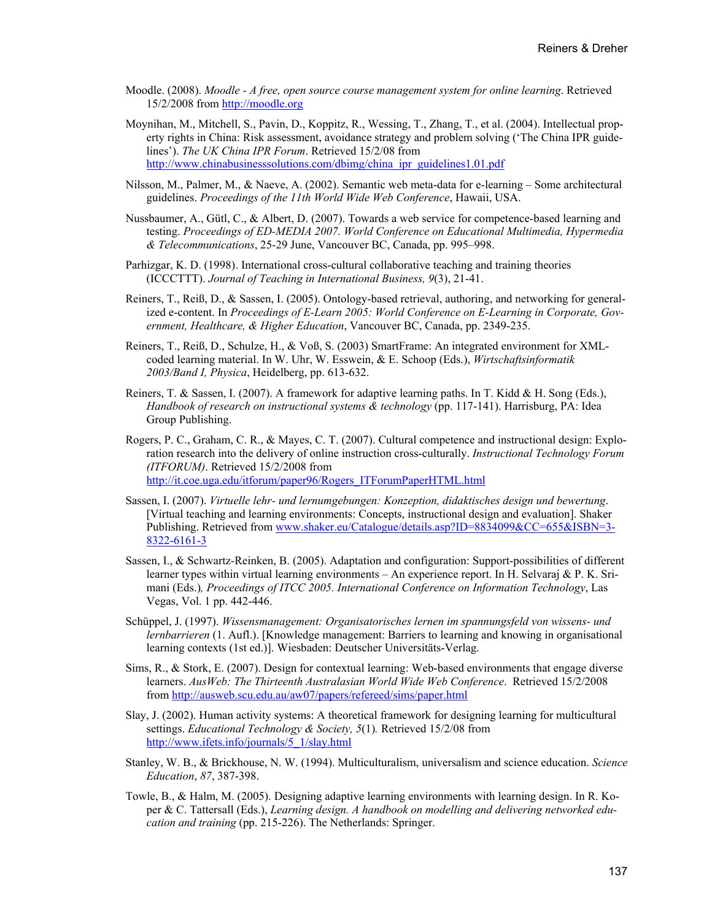- Moodle. (2008). *Moodle A free, open source course management system for online learning*. Retrieved 15/2/2008 from [http://moodle.org](http://moodle.org/)
- Moynihan, M., Mitchell, S., Pavin, D., Koppitz, R., Wessing, T., Zhang, T., et al. (2004). Intellectual property rights in China: Risk assessment, avoidance strategy and problem solving ('The China IPR guidelines'). *The UK China IPR Forum*. Retrieved 15/2/08 from [http://www.chinabusinesssolutions.com/dbimg/china\\_ipr\\_guidelines1.01.pdf](http://www.chinabusinesssolutions.com/dbimg/china_ipr_guidelines1.01.pdf)
- Nilsson, M., Palmer, M., & Naeve, A. (2002). Semantic web meta-data for e-learning Some architectural guidelines. *Proceedings of the 11th World Wide Web Conference*, Hawaii, USA.
- Nussbaumer, A., Gütl, C., & Albert, D. (2007). Towards a web service for competence-based learning and testing. *Proceedings of ED-MEDIA 2007. World Conference on Educational Multimedia, Hypermedia & Telecommunications*, 25-29 June, Vancouver BC, Canada, pp. 995–998.
- Parhizgar, K. D. (1998). International cross-cultural collaborative teaching and training theories (ICCCTTT). *Journal of Teaching in International Business, 9*(3), 21-41.
- Reiners, T., Reiß, D., & Sassen, I. (2005). Ontology-based retrieval, authoring, and networking for generalized e-content. In *Proceedings of E-Learn 2005: World Conference on E-Learning in Corporate, Government, Healthcare, & Higher Education*, Vancouver BC, Canada, pp. 2349-235.
- Reiners, T., Reiß, D., Schulze, H., & Voß, S. (2003) SmartFrame: An integrated environment for XMLcoded learning material. In W. Uhr, W. Esswein, & E. Schoop (Eds.), *Wirtschaftsinformatik 2003/Band I, Physica*, Heidelberg, pp. 613-632.
- Reiners, T. & Sassen, I. (2007). A framework for adaptive learning paths. In T. Kidd & H. Song (Eds.), *Handbook of research on instructional systems & technology* (pp. 117-141). Harrisburg, PA: Idea Group Publishing.
- Rogers, P. C., Graham, C. R., & Mayes, C. T. (2007). Cultural competence and instructional design: Exploration research into the delivery of online instruction cross-culturally. *Instructional Technology Forum (ITFORUM)*. Retrieved 15/2/2008 from [http://it.coe.uga.edu/itforum/paper96/Rogers\\_ITForumPaperHTML.html](http://it.coe.uga.edu/itforum/paper96/Rogers_ITForumPaperHTML.html)
- Sassen, I. (2007). *Virtuelle lehr- und lernumgebungen: Konzeption, didaktisches design und bewertung*. [Virtual teaching and learning environments: Concepts, instructional design and evaluation]. Shaker Publishing. Retrieved from [www.shaker.eu/Catalogue/details.asp?ID=8834099&CC=655&ISBN=3-](http://www.shaker.eu/Catalogue/details.asp?ID=8834099&CC=655&ISBN=3-8322-6161-3) [8322-6161-3](http://www.shaker.eu/Catalogue/details.asp?ID=8834099&CC=655&ISBN=3-8322-6161-3)
- Sassen, I., & Schwartz-Reinken, B. (2005). Adaptation and configuration: Support-possibilities of different learner types within virtual learning environments – An experience report. In H. Selvaraj & P. K. Srimani (Eds.)*, Proceedings of ITCC 2005. International Conference on Information Technology*, Las Vegas, Vol. 1 pp. 442-446.
- Schüppel, J. (1997). *Wissensmanagement: Organisatorisches lernen im spannungsfeld von wissens- und lernbarrieren* (1. Aufl.). [Knowledge management: Barriers to learning and knowing in organisational learning contexts (1st ed.)]. Wiesbaden: Deutscher Universitäts-Verlag.
- Sims, R., & Stork, E. (2007). Design for contextual learning: Web-based environments that engage diverse learners. *AusWeb: The Thirteenth Australasian World Wide Web Conference*. Retrieved 15/2/2008 from <http://ausweb.scu.edu.au/aw07/papers/refereed/sims/paper.html>
- Slay, J. (2002). Human activity systems: A theoretical framework for designing learning for multicultural settings. *Educational Technology & Society, 5*(1)*.* Retrieved 15/2/08 from [http://www.ifets.info/journals/5\\_1/slay.html](http://www.ifets.info/journals/5_1/slay.html)
- Stanley, W. B., & Brickhouse, N. W. (1994). Multiculturalism, universalism and science education. *Science Education*, *87*, 387-398.
- Towle, B., & Halm, M. (2005). Designing adaptive learning environments with learning design. In R. Koper & C. Tattersall (Eds.), *Learning design. A handbook on modelling and delivering networked education and training* (pp. 215-226). The Netherlands: Springer.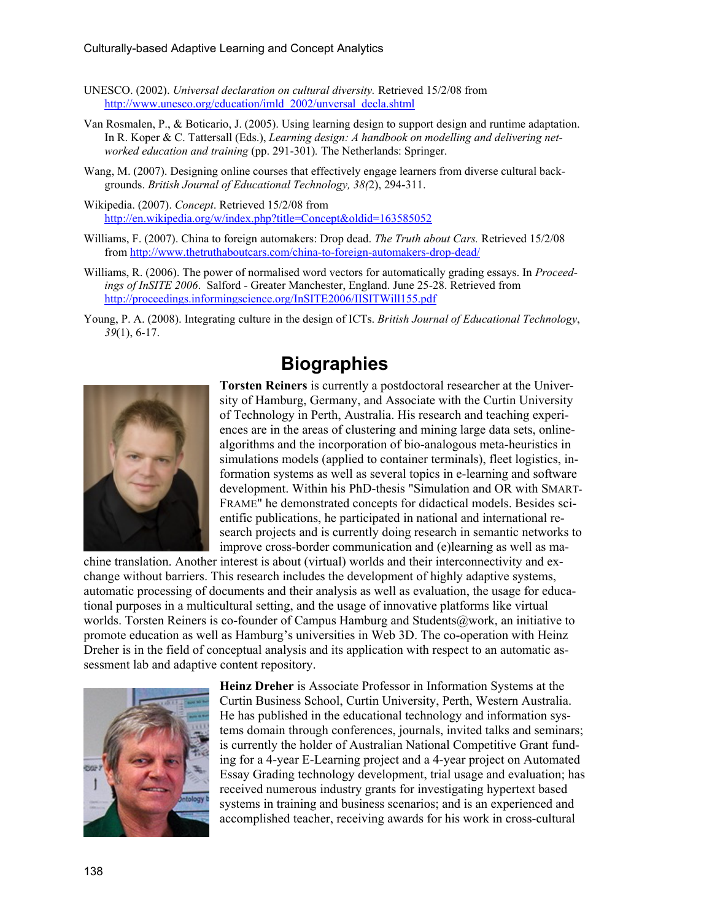- UNESCO. (2002). *Universal declaration on cultural diversity.* Retrieved 15/2/08 from [http://www.unesco.org/education/imld\\_2002/unversal\\_decla.shtml](http://www.unesco.org/education/imld_2002/unversal_decla.shtml)
- Van Rosmalen, P., & Boticario, J. (2005). Using learning design to support design and runtime adaptation. In R. Koper & C. Tattersall (Eds.), *Learning design: A handbook on modelling and delivering networked education and training* (pp. 291-301)*.* The Netherlands: Springer.
- Wang, M. (2007). Designing online courses that effectively engage learners from diverse cultural backgrounds. *British Journal of Educational Technology, 38(*2), 294-311.
- Wikipedia. (2007). *Concept*. Retrieved 15/2/08 from <http://en.wikipedia.org/w/index.php?title=Concept&oldid=163585052>
- Williams, F. (2007). China to foreign automakers: Drop dead. *The Truth about Cars.* Retrieved 15/2/08 from <http://www.thetruthaboutcars.com/china-to-foreign-automakers-drop-dead/>
- Williams, R. (2006). The power of normalised word vectors for automatically grading essays. In *Proceedings of InSITE 2006*. Salford - Greater Manchester, England. June 25-28. Retrieved from <http://proceedings.informingscience.org/InSITE2006/IISITWill155.pdf>
- Young, P. A. (2008). Integrating culture in the design of ICTs. *British Journal of Educational Technology*, *39*(1), 6-17.

### **Biographies**



**Torsten Reiners** is currently a postdoctoral researcher at the University of Hamburg, Germany, and Associate with the Curtin University of Technology in Perth, Australia. His research and teaching experiences are in the areas of clustering and mining large data sets, onlinealgorithms and the incorporation of bio-analogous meta-heuristics in simulations models (applied to container terminals), fleet logistics, information systems as well as several topics in e-learning and software development. Within his PhD-thesis "Simulation and OR with SMART-FRAME" he demonstrated concepts for didactical models. Besides scientific publications, he participated in national and international research projects and is currently doing research in semantic networks to improve cross-border communication and (e)learning as well as ma-

chine translation. Another interest is about (virtual) worlds and their interconnectivity and exchange without barriers. This research includes the development of highly adaptive systems, automatic processing of documents and their analysis as well as evaluation, the usage for educational purposes in a multicultural setting, and the usage of innovative platforms like virtual worlds. Torsten Reiners is co-founder of Campus Hamburg and Students@work, an initiative to promote education as well as Hamburg's universities in Web 3D. The co-operation with Heinz Dreher is in the field of conceptual analysis and its application with respect to an automatic assessment lab and adaptive content repository.



**Heinz Dreher** is Associate Professor in Information Systems at the Curtin Business School, Curtin University, Perth, Western Australia. He has published in the educational technology and information systems domain through conferences, journals, invited talks and seminars; is currently the holder of Australian National Competitive Grant funding for a 4-year E-Learning project and a 4-year project on Automated Essay Grading technology development, trial usage and evaluation; has received numerous industry grants for investigating hypertext based systems in training and business scenarios; and is an experienced and accomplished teacher, receiving awards for his work in cross-cultural